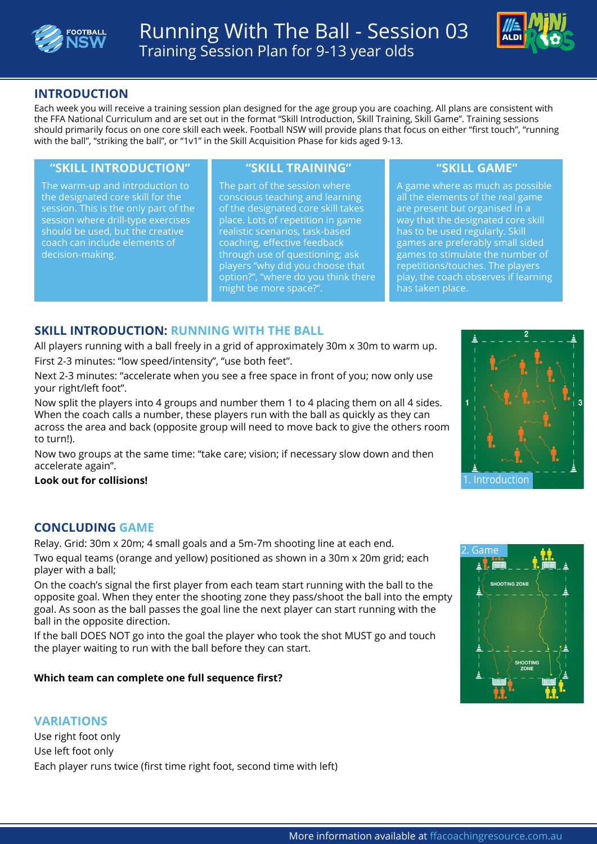



# **INTRODUCTION**

Each week you will receive a training session plan designed for the age group you are coaching. All plans are consistent with the FFA National Curriculum and are set out in the format "Skill Introduction, Skill Training, Skill Game". Training sessions should primarily focus on one core skill each week. Football NSW will provide plans that focus on either "first touch", "running with the ball", "striking the ball", or "1v1" in the Skill Acquisition Phase for kids aged 9-13.

### **"SKILL INTRODUCTION" "SKILL TRAINING" "SKILL GAME"**

The warm-up and introduction to the designated core skill for the session. This is the only part of the session where drill-type exercises should be used, but the creative coach can include elements of decision-making.

The part of the session where conscious teaching and learning of the designated core skill takes place. Lots of repetition in game realistic scenarios, task-based coaching, effective feedback through use of questioning; ask players "why did you choose that option?", "where do you think there might be more space?".

A game where as much as possible all the elements of the real game are present but organised in a way that the designated core skill has to be used regularly. Skill games are preferably small sided games to stimulate the number of repetitions/touches. The players play, the coach observes if learning has taken place.

# **SKILL INTRODUCTION: RUNNING WITH THE BALL**

All players running with a ball freely in a grid of approximately 30m x 30m to warm up. First 2-3 minutes: "low speed/intensity", "use both feet".

Next 2-3 minutes: "accelerate when you see a free space in front of you; now only use your right/left foot".

Now split the players into 4 groups and number them 1 to 4 placing them on all 4 sides. When the coach calls a number, these players run with the ball as quickly as they can across the area and back (opposite group will need to move back to give the others room to turn!).

Now two groups at the same time: "take care; vision; if necessary slow down and then accelerate again".

### **Look out for collisions!**

# **CONCLUDING GAME**

Relay. Grid: 30m x 20m; 4 small goals and a 5m-7m shooting line at each end.

Two equal teams (orange and yellow) positioned as shown in a 30m x 20m grid; each player with a ball;

On the coach's signal the first player from each team start running with the ball to the opposite goal. When they enter the shooting zone they pass/shoot the ball into the empty goal. As soon as the ball passes the goal line the next player can start running with the ball in the opposite direction.

If the ball DOES NOT go into the goal the player who took the shot MUST go and touch the player waiting to run with the ball before they can start.

### **Which team can complete one full sequence first?**

# **VARIATIONS**

Use right foot only Use left foot only Each player runs twice (first time right foot, second time with left)